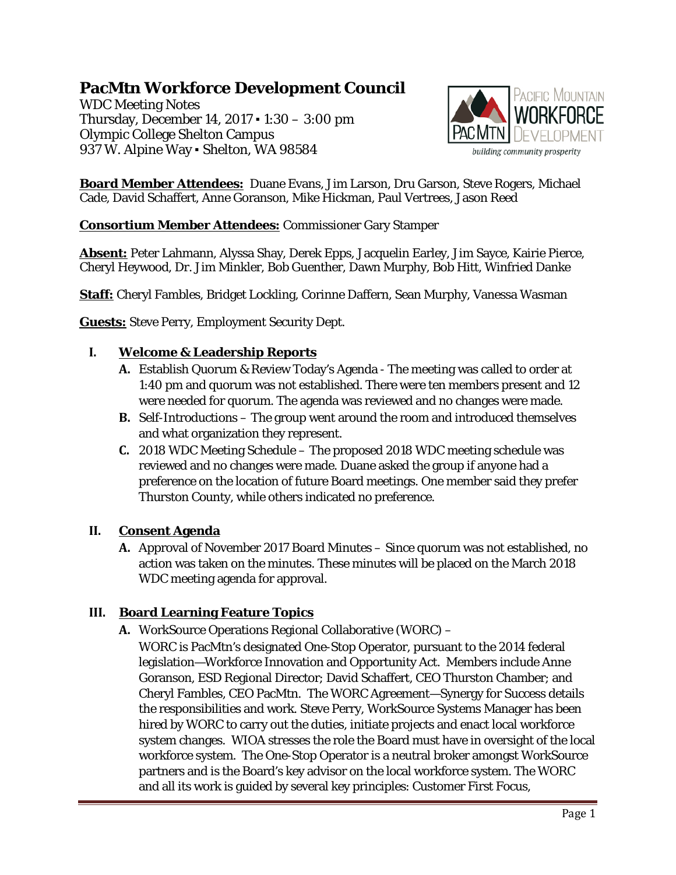# **PacMtn Workforce Development Council**

WDC Meeting Notes Thursday, December 14, 2017 ▪ 1:30 – 3:00 pm Olympic College Shelton Campus 937 W. Alpine Way • Shelton, WA 98584



**Board Member Attendees:** Duane Evans, Jim Larson, Dru Garson, Steve Rogers, Michael Cade, David Schaffert, Anne Goranson, Mike Hickman, Paul Vertrees, Jason Reed

#### **Consortium Member Attendees:** Commissioner Gary Stamper

**Absent:** Peter Lahmann, Alyssa Shay, Derek Epps, Jacquelin Earley, Jim Sayce, Kairie Pierce, Cheryl Heywood, Dr. Jim Minkler, Bob Guenther, Dawn Murphy, Bob Hitt, Winfried Danke

**Staff:** Cheryl Fambles, Bridget Lockling, Corinne Daffern, Sean Murphy, Vanessa Wasman

**Guests:** Steve Perry, Employment Security Dept.

#### **I. Welcome & Leadership Reports**

- **A.** Establish Quorum & Review Today's Agenda The meeting was called to order at 1:40 pm and quorum was not established. There were ten members present and 12 were needed for quorum. The agenda was reviewed and no changes were made.
- **B.** Self-Introductions The group went around the room and introduced themselves and what organization they represent.
- **C.** 2018 WDC Meeting Schedule The proposed 2018 WDC meeting schedule was reviewed and no changes were made. Duane asked the group if anyone had a preference on the location of future Board meetings. One member said they prefer Thurston County, while others indicated no preference.

#### **II. Consent Agenda**

**A.** Approval of November 2017 Board Minutes – Since quorum was not established, no action was taken on the minutes. These minutes will be placed on the March 2018 WDC meeting agenda for approval.

## **III. Board Learning Feature Topics**

- **A.** WorkSource Operations Regional Collaborative (WORC)
	- WORC is PacMtn's designated One-Stop Operator, pursuant to the 2014 federal legislation—Workforce Innovation and Opportunity Act. Members include Anne Goranson, ESD Regional Director; David Schaffert, CEO Thurston Chamber; and Cheryl Fambles, CEO PacMtn. The WORC Agreement—Synergy for Success details the responsibilities and work. Steve Perry, WorkSource Systems Manager has been hired by WORC to carry out the duties, initiate projects and enact local workforce system changes. WIOA stresses the role the Board must have in oversight of the local workforce system. The One-Stop Operator is a neutral broker amongst WorkSource partners and is the Board's key advisor on the local workforce system. The WORC and all its work is guided by several key principles: Customer First Focus,